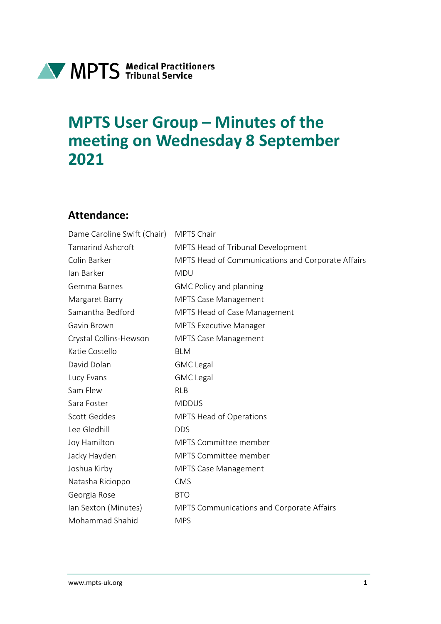

# **MPTS User Group – Minutes of the meeting on Wednesday 8 September 2021**

#### **Attendance:**

| Dame Caroline Swift (Chair) | <b>MPTS Chair</b>                                 |
|-----------------------------|---------------------------------------------------|
| <b>Tamarind Ashcroft</b>    | MPTS Head of Tribunal Development                 |
| Colin Barker                | MPTS Head of Communications and Corporate Affairs |
| Ian Barker                  | <b>MDU</b>                                        |
| Gemma Barnes                | <b>GMC Policy and planning</b>                    |
| Margaret Barry              | MPTS Case Management                              |
| Samantha Bedford            | MPTS Head of Case Management                      |
| Gavin Brown                 | <b>MPTS Executive Manager</b>                     |
| Crystal Collins-Hewson      | <b>MPTS Case Management</b>                       |
| Katie Costello              | <b>BLM</b>                                        |
| David Dolan                 | <b>GMC</b> Legal                                  |
| Lucy Evans                  | <b>GMC</b> Legal                                  |
| Sam Flew                    | <b>RLB</b>                                        |
| Sara Foster                 | <b>MDDUS</b>                                      |
| Scott Geddes                | MPTS Head of Operations                           |
| Lee Gledhill                | <b>DDS</b>                                        |
| Joy Hamilton                | <b>MPTS Committee member</b>                      |
| Jacky Hayden                | <b>MPTS Committee member</b>                      |
| Joshua Kirby                | <b>MPTS Case Management</b>                       |
| Natasha Ricioppo            | <b>CMS</b>                                        |
| Georgia Rose                | <b>BTO</b>                                        |
| Ian Sexton (Minutes)        | MPTS Communications and Corporate Affairs         |
| Mohammad Shahid             | <b>MPS</b>                                        |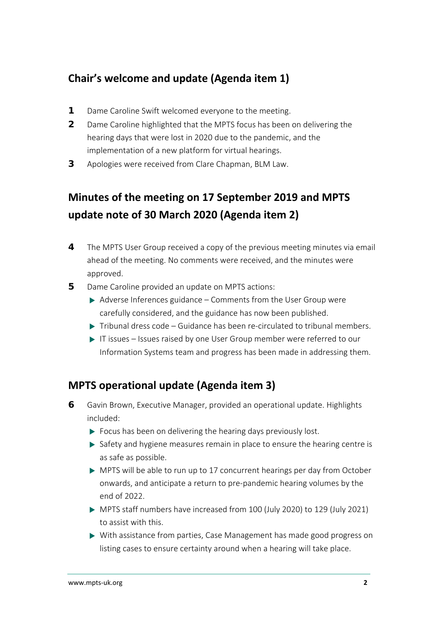#### **Chair's welcome and update (Agenda item 1)**

- **1** Dame Caroline Swift welcomed everyone to the meeting.
- **2** Dame Caroline highlighted that the MPTS focus has been on delivering the hearing days that were lost in 2020 due to the pandemic, and the implementation of a new platform for virtual hearings.
- **3** Apologies were received from Clare Chapman, BLM Law.

# **Minutes of the meeting on 17 September 2019 and MPTS update note of 30 March 2020 (Agenda item 2)**

- **4** The MPTS User Group received a copy of the previous meeting minutes via email ahead of the meeting. No comments were received, and the minutes were approved.
- **5** Dame Caroline provided an update on MPTS actions:
	- $\triangleright$  Adverse Inferences guidance Comments from the User Group were carefully considered, and the guidance has now been published.
	- $\triangleright$  Tribunal dress code Guidance has been re-circulated to tribunal members.
	- IT issues Issues raised by one User Group member were referred to our Information Systems team and progress has been made in addressing them.

#### **MPTS operational update (Agenda item 3)**

- **6** Gavin Brown, Executive Manager, provided an operational update. Highlights included:
	- $\triangleright$  Focus has been on delivering the hearing days previously lost.
	- $\triangleright$  Safety and hygiene measures remain in place to ensure the hearing centre is as safe as possible.
	- MPTS will be able to run up to 17 concurrent hearings per day from October onwards, and anticipate a return to pre-pandemic hearing volumes by the end of 2022.
	- MPTS staff numbers have increased from 100 (July 2020) to 129 (July 2021) to assist with this.
	- With assistance from parties, Case Management has made good progress on listing cases to ensure certainty around when a hearing will take place.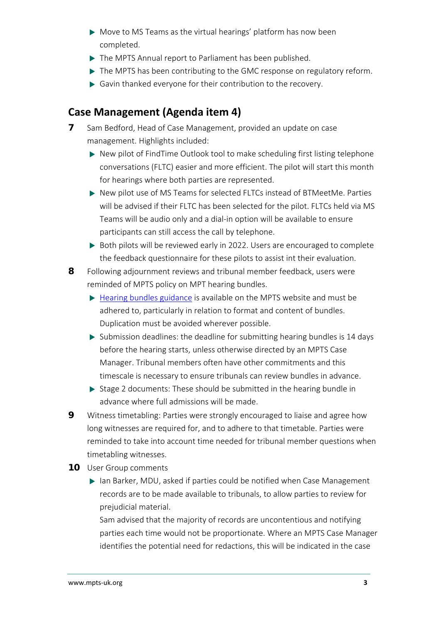- Move to MS Teams as the virtual hearings' platform has now been completed.
- The MPTS Annual report to Parliament has been published.
- $\triangleright$  The MPTS has been contributing to the GMC response on regulatory reform.
- Gavin thanked everyone for their contribution to the recovery.

## **Case Management (Agenda item 4)**

- **7** Sam Bedford, Head of Case Management, provided an update on case management. Highlights included:
	- ▶ New pilot of FindTime Outlook tool to make scheduling first listing telephone conversations (FLTC) easier and more efficient. The pilot will start this month for hearings where both parties are represented.
	- ▶ New pilot use of MS Teams for selected FLTCs instead of BTMeetMe. Parties will be advised if their FLTC has been selected for the pilot. FLTCs held via MS Teams will be audio only and a dial-in option will be available to ensure participants can still access the call by telephone.
	- ▶ Both pilots will be reviewed early in 2022. Users are encouraged to complete the feedback questionnaire for these pilots to assist int their evaluation.
- **8** Following adjournment reviews and tribunal member feedback, users were reminded of MPTS policy on MPT hearing bundles.
	- $\triangleright$  [Hearing bundles guidance](https://www.mpts-uk.org/-/media/mpts-documents/dc11070---hearing-bundles-for-mpt-hearings---guidance-for-decision-makers-parties-represent-73897232.pdf) is available on the MPTS website and must be adhered to, particularly in relation to format and content of bundles. Duplication must be avoided wherever possible.
	- $\triangleright$  Submission deadlines: the deadline for submitting hearing bundles is 14 days before the hearing starts, unless otherwise directed by an MPTS Case Manager. Tribunal members often have other commitments and this timescale is necessary to ensure tribunals can review bundles in advance.
	- $\triangleright$  Stage 2 documents: These should be submitted in the hearing bundle in advance where full admissions will be made.
- **9** Witness timetabling: Parties were strongly encouraged to liaise and agree how long witnesses are required for, and to adhere to that timetable. Parties were reminded to take into account time needed for tribunal member questions when timetabling witnesses.
- **10** User Group comments
	- ▶ Ian Barker, MDU, asked if parties could be notified when Case Management records are to be made available to tribunals, to allow parties to review for prejudicial material.

Sam advised that the majority of records are uncontentious and notifying parties each time would not be proportionate. Where an MPTS Case Manager identifies the potential need for redactions, this will be indicated in the case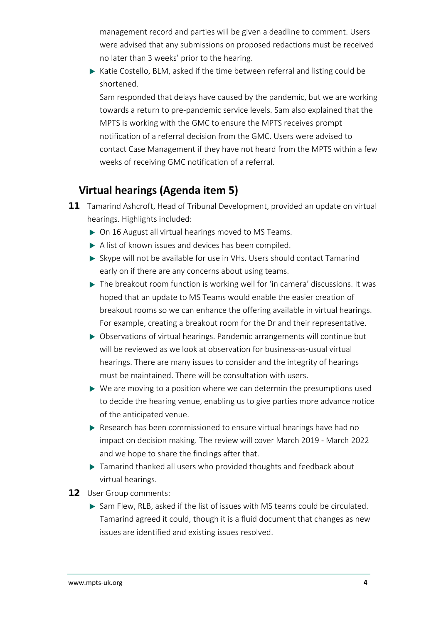management record and parties will be given a deadline to comment. Users were advised that any submissions on proposed redactions must be received no later than 3 weeks' prior to the hearing.

 $\triangleright$  Katie Costello, BLM, asked if the time between referral and listing could be shortened.

Sam responded that delays have caused by the pandemic, but we are working towards a return to pre-pandemic service levels. Sam also explained that the MPTS is working with the GMC to ensure the MPTS receives prompt notification of a referral decision from the GMC. Users were advised to contact Case Management if they have not heard from the MPTS within a few weeks of receiving GMC notification of a referral.

### **Virtual hearings (Agenda item 5)**

- **11** Tamarind Ashcroft, Head of Tribunal Development, provided an update on virtual hearings. Highlights included:
	- ▶ On 16 August all virtual hearings moved to MS Teams.
	- A list of known issues and devices has been compiled.
	- Skype will not be available for use in VHs. Users should contact Tamarind early on if there are any concerns about using teams.
	- ▶ The breakout room function is working well for 'in camera' discussions. It was hoped that an update to MS Teams would enable the easier creation of breakout rooms so we can enhance the offering available in virtual hearings. For example, creating a breakout room for the Dr and their representative.
	- ▶ Observations of virtual hearings. Pandemic arrangements will continue but will be reviewed as we look at observation for business-as-usual virtual hearings. There are many issues to consider and the integrity of hearings must be maintained. There will be consultation with users.
	- ▶ We are moving to a position where we can determin the presumptions used to decide the hearing venue, enabling us to give parties more advance notice of the anticipated venue.
	- Research has been commissioned to ensure virtual hearings have had no impact on decision making. The review will cover March 2019 - March 2022 and we hope to share the findings after that.
	- $\triangleright$  Tamarind thanked all users who provided thoughts and feedback about virtual hearings.
- **12** User Group comments:
	- Sam Flew, RLB, asked if the list of issues with MS teams could be circulated. Tamarind agreed it could, though it is a fluid document that changes as new issues are identified and existing issues resolved.